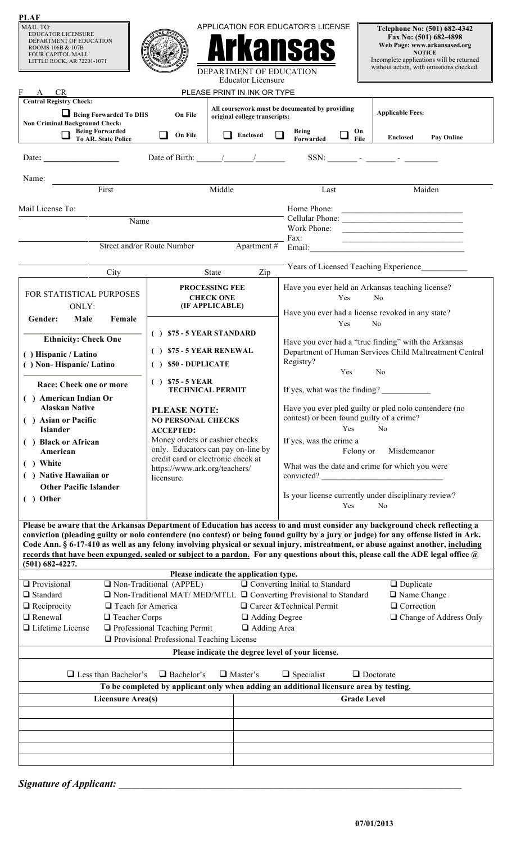| <b>PLAF</b>                                                                                                                                                                                                                                                         |                                                                                           |                                                                                        |                                                                                 |                                                                                                                                                                                                                                                     |  |
|---------------------------------------------------------------------------------------------------------------------------------------------------------------------------------------------------------------------------------------------------------------------|-------------------------------------------------------------------------------------------|----------------------------------------------------------------------------------------|---------------------------------------------------------------------------------|-----------------------------------------------------------------------------------------------------------------------------------------------------------------------------------------------------------------------------------------------------|--|
| MAIL TO:<br><b>EDUCATOR LICENSURE</b><br>DEPARTMENT OF EDUCATION<br>ROOMS 106B & 107B<br><b>FOUR CAPITOL MALL</b><br>LITTLE ROCK, AR 72201-1071                                                                                                                     |                                                                                           | <b>DEPARTMENT OF EDUCATION</b>                                                         | APPLICATION FOR EDUCATOR'S LICENSE                                              | Telephone No: (501) 682-4342<br>Fax No: (501) 682-4898<br>Web Page: www.arkansased.org<br><b>NOTICE</b><br>Incomplete applications will be returned<br>without action, with omissions checked.                                                      |  |
|                                                                                                                                                                                                                                                                     |                                                                                           | <b>Educator Licensure</b>                                                              |                                                                                 |                                                                                                                                                                                                                                                     |  |
| F A CR<br><b>Central Registry Check:</b>                                                                                                                                                                                                                            |                                                                                           | PLEASE PRINT IN INK OR TYPE                                                            |                                                                                 |                                                                                                                                                                                                                                                     |  |
| Being Forwarded To DHS<br>On File<br>original college transcripts:<br><b>Non Criminal Background Check:</b><br><b>Being Forwarded<br/>To AR. State Police</b><br>$\Box$ On File<br>Enclosed                                                                         |                                                                                           |                                                                                        | All coursework must be documented by providing<br>Being<br>On<br>$\Box$<br>File | <b>Applicable Fees:</b><br>Enclosed<br>Pay Online                                                                                                                                                                                                   |  |
|                                                                                                                                                                                                                                                                     |                                                                                           |                                                                                        | Forwarded                                                                       |                                                                                                                                                                                                                                                     |  |
|                                                                                                                                                                                                                                                                     | Date of Birth:                                                                            |                                                                                        |                                                                                 | SSN: $\qquad \qquad  \qquad  \qquad$                                                                                                                                                                                                                |  |
| Name:                                                                                                                                                                                                                                                               |                                                                                           |                                                                                        |                                                                                 |                                                                                                                                                                                                                                                     |  |
| First                                                                                                                                                                                                                                                               |                                                                                           | Middle                                                                                 | Last                                                                            | Maiden                                                                                                                                                                                                                                              |  |
| Mail License To:                                                                                                                                                                                                                                                    |                                                                                           |                                                                                        |                                                                                 | Home Phone:                                                                                                                                                                                                                                         |  |
| Name                                                                                                                                                                                                                                                                |                                                                                           |                                                                                        |                                                                                 |                                                                                                                                                                                                                                                     |  |
|                                                                                                                                                                                                                                                                     |                                                                                           |                                                                                        | Fax:                                                                            | Work Phone:<br><u> 1999 - John Harry Harry Harry Harry Harry Harry Harry Harry Harry Harry Harry Harry Harry Harry Harry Harry Harry Harry Harry Harry Harry Harry Harry Harry Harry Harry Harry Harry Harry Harry Harry Harry Harry Harry Harr</u> |  |
| Street and/or Route Number                                                                                                                                                                                                                                          |                                                                                           | Apartment #                                                                            | Email:                                                                          | <u> 1989 - Johann Barbara, martin amerikan basar dan berasal dalam basar dalam basar dalam basar dalam basar dala</u>                                                                                                                               |  |
| City                                                                                                                                                                                                                                                                |                                                                                           | Zip<br>State                                                                           |                                                                                 | Years of Licensed Teaching Experience                                                                                                                                                                                                               |  |
|                                                                                                                                                                                                                                                                     |                                                                                           |                                                                                        |                                                                                 |                                                                                                                                                                                                                                                     |  |
| FOR STATISTICAL PURPOSES                                                                                                                                                                                                                                            |                                                                                           | <b>PROCESSING FEE</b><br><b>CHECK ONE</b>                                              | Yes                                                                             | Have you ever held an Arkansas teaching license?<br>N <sub>o</sub>                                                                                                                                                                                  |  |
| ONLY:                                                                                                                                                                                                                                                               |                                                                                           | (IF APPLICABLE)                                                                        |                                                                                 | Have you ever had a license revoked in any state?                                                                                                                                                                                                   |  |
| Male<br>Female<br>Gender:                                                                                                                                                                                                                                           |                                                                                           |                                                                                        | Yes                                                                             | N <sub>0</sub>                                                                                                                                                                                                                                      |  |
| <b>Ethnicity: Check One</b>                                                                                                                                                                                                                                         | $( )$ \$75 - 5 YEAR STANDARD                                                              |                                                                                        |                                                                                 | Have you ever had a "true finding" with the Arkansas                                                                                                                                                                                                |  |
| $( )$ \$75 - 5 YEAR RENEWAL<br>() Hispanic / Latino                                                                                                                                                                                                                 |                                                                                           | Department of Human Services Child Maltreatment Central                                |                                                                                 |                                                                                                                                                                                                                                                     |  |
| () Non-Hispanic/Latino                                                                                                                                                                                                                                              | $( )$ \$50 - DUPLICATE                                                                    |                                                                                        | Registry?<br>Yes                                                                | N <sub>0</sub>                                                                                                                                                                                                                                      |  |
| Race: Check one or more                                                                                                                                                                                                                                             | $( )$ \$75 - 5 YEAR<br><b>TECHNICAL PERMIT</b>                                            |                                                                                        | If yes, what was the finding?                                                   |                                                                                                                                                                                                                                                     |  |
| () American Indian Or                                                                                                                                                                                                                                               |                                                                                           |                                                                                        |                                                                                 |                                                                                                                                                                                                                                                     |  |
| <b>Alaskan Native</b>                                                                                                                                                                                                                                               | <b>PLEASE NOTE:</b>                                                                       |                                                                                        | contest) or been found guilty of a crime?                                       | Have you ever pled guilty or pled nolo contendere (no                                                                                                                                                                                               |  |
| ( ) Asian or Pacific<br><b>Islander</b>                                                                                                                                                                                                                             | <b>NO PERSONAL CHECKS</b><br><b>ACCEPTED:</b>                                             |                                                                                        | Yes                                                                             | N <sub>0</sub>                                                                                                                                                                                                                                      |  |
| Money orders or cashier checks<br>( ) Black or African                                                                                                                                                                                                              |                                                                                           |                                                                                        | If yes, was the crime a                                                         |                                                                                                                                                                                                                                                     |  |
| only. Educators can pay on-line by<br>American<br>credit card or electronic check at                                                                                                                                                                                |                                                                                           |                                                                                        |                                                                                 | Felony or Misdemeanor                                                                                                                                                                                                                               |  |
| ) White<br>https://www.ark.org/teachers/<br>( ) Native Hawaiian or                                                                                                                                                                                                  |                                                                                           |                                                                                        | convicted?                                                                      | What was the date and crime for which you were                                                                                                                                                                                                      |  |
| <b>Other Pacific Islander</b>                                                                                                                                                                                                                                       | licensure.                                                                                |                                                                                        |                                                                                 |                                                                                                                                                                                                                                                     |  |
| ( ) Other                                                                                                                                                                                                                                                           |                                                                                           |                                                                                        | Yes                                                                             | Is your license currently under disciplinary review?<br><b>No</b>                                                                                                                                                                                   |  |
|                                                                                                                                                                                                                                                                     |                                                                                           |                                                                                        |                                                                                 |                                                                                                                                                                                                                                                     |  |
| Please be aware that the Arkansas Department of Education has access to and must consider any background check reflecting a<br>conviction (pleading guilty or nolo contendere (no contest) or being found guilty by a jury or judge) for any offense listed in Ark. |                                                                                           |                                                                                        |                                                                                 |                                                                                                                                                                                                                                                     |  |
| Code Ann. § 6-17-410 as well as any felony involving physical or sexual injury, mistreatment, or abuse against another, including                                                                                                                                   |                                                                                           |                                                                                        |                                                                                 |                                                                                                                                                                                                                                                     |  |
| records that have been expunged, sealed or subject to a pardon. For any questions about this, please call the ADE legal office $\omega$<br>$(501)$ 682-4227.                                                                                                        |                                                                                           |                                                                                        |                                                                                 |                                                                                                                                                                                                                                                     |  |
|                                                                                                                                                                                                                                                                     |                                                                                           | Please indicate the application type.                                                  |                                                                                 |                                                                                                                                                                                                                                                     |  |
| $\Box$ Provisional                                                                                                                                                                                                                                                  | $\Box$ Non-Traditional (APPEL)                                                            |                                                                                        | $\Box$ Converting Initial to Standard                                           | $\Box$ Duplicate                                                                                                                                                                                                                                    |  |
| $\Box$ Standard<br>$\Box$ Non-Traditional MAT/MED/MTLL $\Box$ Converting Provisional to Standard<br>$\Box$ Name Change<br>$\Box$ Career & Technical Permit<br>$\Box$ Reciprocity<br>$\Box$ Correction<br>$\Box$ Teach for America                                   |                                                                                           |                                                                                        |                                                                                 |                                                                                                                                                                                                                                                     |  |
| $\Box$ Renewal<br>□ Teacher Corps                                                                                                                                                                                                                                   |                                                                                           | $\Box$ Adding Degree                                                                   |                                                                                 | □ Change of Address Only                                                                                                                                                                                                                            |  |
| $\Box$ Lifetime License                                                                                                                                                                                                                                             | $\Box$ Professional Teaching Permit<br><b>Q</b> Provisional Professional Teaching License | □ Adding Area                                                                          |                                                                                 |                                                                                                                                                                                                                                                     |  |
|                                                                                                                                                                                                                                                                     |                                                                                           | Please indicate the degree level of your license.                                      |                                                                                 |                                                                                                                                                                                                                                                     |  |
|                                                                                                                                                                                                                                                                     |                                                                                           |                                                                                        |                                                                                 |                                                                                                                                                                                                                                                     |  |
| $\Box$ Less than Bachelor's                                                                                                                                                                                                                                         | $\Box$ Bachelor's                                                                         | $\Box$ Master's                                                                        | $\Box$ Specialist                                                               | $\Box$ Doctorate                                                                                                                                                                                                                                    |  |
|                                                                                                                                                                                                                                                                     |                                                                                           | To be completed by applicant only when adding an additional licensure area by testing. |                                                                                 |                                                                                                                                                                                                                                                     |  |
| Licensure Area(s)                                                                                                                                                                                                                                                   |                                                                                           |                                                                                        | <b>Grade Level</b>                                                              |                                                                                                                                                                                                                                                     |  |
|                                                                                                                                                                                                                                                                     |                                                                                           |                                                                                        |                                                                                 |                                                                                                                                                                                                                                                     |  |
|                                                                                                                                                                                                                                                                     |                                                                                           |                                                                                        |                                                                                 |                                                                                                                                                                                                                                                     |  |
|                                                                                                                                                                                                                                                                     |                                                                                           |                                                                                        |                                                                                 |                                                                                                                                                                                                                                                     |  |
|                                                                                                                                                                                                                                                                     |                                                                                           |                                                                                        |                                                                                 |                                                                                                                                                                                                                                                     |  |
|                                                                                                                                                                                                                                                                     |                                                                                           |                                                                                        |                                                                                 |                                                                                                                                                                                                                                                     |  |

| <b>Signature of Applicant:</b> |  |
|--------------------------------|--|
|                                |  |